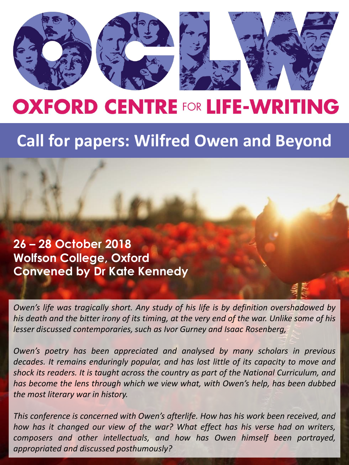

# **OXFORD CENTRE FOR LIFE-WRITING**

### **[Call for papers: Wilfred Owen and Beyond](https://wilfredowenandbeyond.wordpress.com)**

### **26 – 28 October 2018 Wolfson College, Oxford Convened by Dr Kate Kennedy**

*Owen's life was tragically short. Any study of his life is by definition overshadowed by* his death and the bitter irony of its timing, at the very end of the war. Unlike some of his *lesser discussed contemporaries, such as Ivor Gurney and Isaac Rosenberg,*

*Owen's poetry has been appreciated and analysed by many scholars in previous decades. It remains enduringly popular, and has lost little of its capacity to move and shock its readers. It is taught across the country as part of the National Curriculum, and has become the lens through which we view what, with Owen's help, has been dubbed the most literary war in history.*

*This conference is concerned with Owen's afterlife. How has his work been received, and how has it changed our view of the war? What effect has his verse had on writers, composers and other intellectuals, and how has Owen himself been portrayed, appropriated and discussed posthumously?*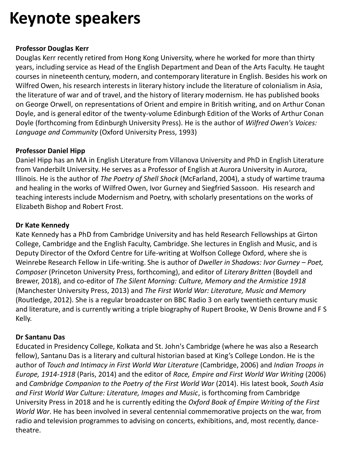## **Keynote speakers**

#### **Professor Douglas Kerr**

Douglas Kerr recently retired from Hong Kong University, where he worked for more than thirty years, including service as Head of the English Department and Dean of the Arts Faculty. He taught courses in nineteenth century, modern, and contemporary literature in English. Besides his work on Wilfred Owen, his research interests in literary history include the literature of colonialism in Asia, the literature of war and of travel, and the history of literary modernism. He has published books on George Orwell, on representations of Orient and empire in British writing, and on Arthur Conan Doyle, and is general editor of the twenty-volume Edinburgh Edition of the Works of Arthur Conan Doyle (forthcoming from Edinburgh University Press). He is the author of *Wilfred Owen's Voices: Language and Community* (Oxford University Press, 1993)

#### **Professor Daniel Hipp**

Daniel Hipp has an MA in English Literature from Villanova University and PhD in English Literature from Vanderbilt University. He serves as a Professor of English at Aurora University in Aurora, Illinois. He is the author of *The Poetry of Shell Shock* (McFarland, 2004), a study of wartime trauma and healing in the works of Wilfred Owen, Ivor Gurney and Siegfried Sassoon. His research and teaching interests include Modernism and Poetry, with scholarly presentations on the works of Elizabeth Bishop and Robert Frost.

#### **Dr Kate Kennedy**

Kate Kennedy has a PhD from Cambridge University and has held Research Fellowships at Girton College, Cambridge and the English Faculty, Cambridge. She lectures in English and Music, and is Deputy Director of the Oxford Centre for Life-writing at Wolfson College Oxford, where she is Weinrebe Research Fellow in Life-writing. She is author of *Dweller in Shadows: Ivor Gurney – Poet, Composer* (Princeton University Press, forthcoming), and editor of *Literary Britten* (Boydell and Brewer, 2018), and co-editor of *The Silent Morning: Culture, Memory and the Armistice 1918* (Manchester University Press, 2013) and *The First World War: Literature, Music and Memory* (Routledge, 2012). She is a regular broadcaster on BBC Radio 3 on early twentieth century music and literature, and is currently writing a triple biography of Rupert Brooke, W Denis Browne and F S Kelly.

#### **Dr Santanu Das**

Educated in Presidency College, Kolkata and St. John's Cambridge (where he was also a Research fellow), Santanu Das is a literary and cultural historian based at King's College London. He is the author of *Touch and Intimacy in First World War Literature* (Cambridge, 2006) and *Indian Troops in Europe, 1914-1918* (Paris, 2014) and the editor of *Race, Empire and First World War Writing* (2006) and *Cambridge Companion to the Poetry of the First World War* (2014). His latest book, *South Asia and First World War Culture: Literature, Images and Music*, is forthcoming from Cambridge University Press in 2018 and he is currently editing the *Oxford Book of Empire Writing of the First World War*. He has been involved in several centennial commemorative projects on the war, from radio and television programmes to advising on concerts, exhibitions, and, most recently, dancetheatre.